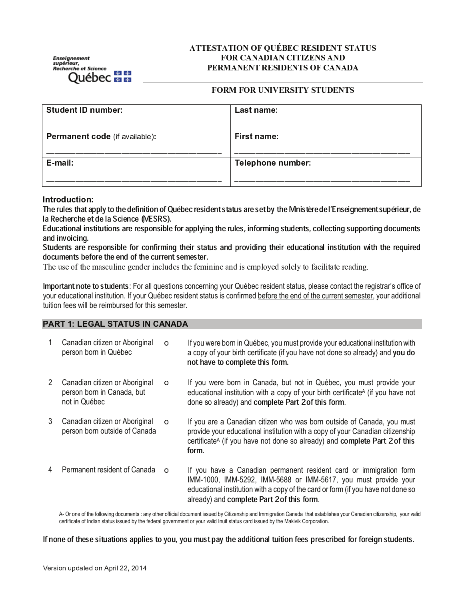Enseignement<br>supérieur,<br>Recherche et Science **Québec <del>E E</del>** 

## **ATTESTATION OF QUÉBEC RESIDENT STATUS FOR CANADIAN CITIZENS AND** PERMANENT RESIDENTS OF CANADA

#### **FORM FOR UNIVERSITY STUDENTS**

| <b>Student ID number:</b>             | Last name:        |
|---------------------------------------|-------------------|
| <b>Permanent code</b> (if available): | First name:       |
| E-mail:                               | Telephone number: |

Introduction:

The rules that apply to the definition of Québec resident status are set by the Mnistère de l'Enseignement supérieur, de la Recherche et de la Science (MESRS).

Educational institutions are responsible for applying the rules, informing students, collecting supporting documents and invoicing.

Students are responsible for confirming their status and providing their educational institution with the required documents before the end of the current semester.

The use of the masculine gender includes the feminine and is employed solely to facilitate reading.

Important note to students: For all questions concerning your Québec resident status, please contact the registrar's office of your educational institution. If your Québec resident status is confirmed before the end of the current semester, your additional tuition fees will be reimbursed for this semester.

## **PART 1: LEGAL STATUS IN CANADA**

|   | Canadian citizen or Aboriginal<br>person born in Québec                       | $\circ$  | If you were born in Québec, you must provide your educational institution with<br>a copy of your birth certificate (if you have not done so already) and you do<br>not have to complete this form.                                                                      |
|---|-------------------------------------------------------------------------------|----------|-------------------------------------------------------------------------------------------------------------------------------------------------------------------------------------------------------------------------------------------------------------------------|
| 2 | Canadian citizen or Aboriginal<br>person born in Canada, but<br>not in Québec | $\Omega$ | If you were born in Canada, but not in Québec, you must provide your<br>educational institution with a copy of your birth certificate <sup>A</sup> (if you have not<br>done so already) and complete Part 2 of this form.                                               |
| 3 | Canadian citizen or Aboriginal<br>person born outside of Canada               | $\circ$  | If you are a Canadian citizen who was born outside of Canada, you must<br>provide your educational institution with a copy of your Canadian citizenship<br>certificate <sup>A</sup> (if you have not done so already) and complete Part 2 of this<br>form.              |
| 4 | Permanent resident of Canada                                                  | $\Omega$ | If you have a Canadian permanent resident card or immigration form<br>IMM-1000, IMM-5292, IMM-5688 or IMM-5617, you must provide your<br>educational institution with a copy of the card or form (if you have not done so<br>already) and complete Part 2 of this form. |

A- Or one of the following documents : any other official document issued by Citizenship and Immigration Canada that establishes your Canadian citizenship, your valid certificate of Indian status issued by the federal government or your valid Inuit status card issued by the Makivik Corporation.

If none of these situations applies to you, you must pay the additional tuition fees prescribed for foreign students.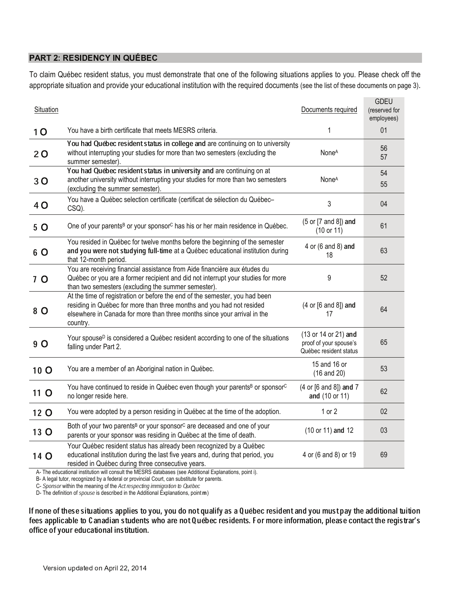## PART 2: RESIDENCY IN QUEBE

To claim Québec resident status, you must demonstrate that one of the following situations applies to you. Please check off the appropriate situation and provide your educational institution with the required documents (see the list of these documents on page 3).

| Situation      |                                                                                                                                                                                                                                                                                                                        | Documents required                                                       | <b>GDEU</b><br>(reserved for<br>employees) |
|----------------|------------------------------------------------------------------------------------------------------------------------------------------------------------------------------------------------------------------------------------------------------------------------------------------------------------------------|--------------------------------------------------------------------------|--------------------------------------------|
| 10             | You have a birth certificate that meets MESRS criteria.                                                                                                                                                                                                                                                                | 1                                                                        | 01                                         |
| 20             | You had Québec resident status in college and are continuing on to university<br>without interrupting your studies for more than two semesters (excluding the<br>summer semester).                                                                                                                                     | None <sup>A</sup>                                                        | 56<br>57                                   |
| 30             | You had Québec resident status in university and are continuing on at<br>another university without interrupting your studies for more than two semesters<br>(excluding the summer semester).                                                                                                                          | None <sup>A</sup>                                                        | 54<br>55                                   |
| 4 O            | You have a Québec selection certificate (certificat de sélection du Québec-<br>CSQ).                                                                                                                                                                                                                                   | 3                                                                        | 04                                         |
| 5 O            | One of your parents <sup>B</sup> or your sponsor <sup>C</sup> has his or her main residence in Québec.                                                                                                                                                                                                                 | (5 or [7 and 8]) and<br>(10 or 11)                                       | 61                                         |
| 6 O            | You resided in Québec for twelve months before the beginning of the semester<br>and you were not studying full-time at a Québec educational institution during<br>that 12-month period.                                                                                                                                | 4 or (6 and 8) and<br>18                                                 | 63                                         |
| 7 <sub>O</sub> | You are receiving financial assistance from Aide financière aux études du<br>Québec or you are a former recipient and did not interrupt your studies for more<br>than two semesters (excluding the summer semester).                                                                                                   | 9                                                                        | 52                                         |
| 8 O            | At the time of registration or before the end of the semester, you had been<br>residing in Québec for more than three months and you had not resided<br>elsewhere in Canada for more than three months since your arrival in the<br>country.                                                                           | (4 or [6 and 8]) and<br>17                                               | 64                                         |
| 9 O            | Your spouse <sup>D</sup> is considered a Québec resident according to one of the situations<br>falling under Part 2.                                                                                                                                                                                                   | (13 or 14 or 21) and<br>proof of your spouse's<br>Québec resident status | 65                                         |
| 10 O           | You are a member of an Aboriginal nation in Québec.                                                                                                                                                                                                                                                                    | 15 and 16 or<br>$(16$ and $20)$                                          | 53                                         |
| 11 O           | You have continued to reside in Québec even though your parents <sup>B</sup> or sponsor <sup>C</sup><br>no longer reside here.                                                                                                                                                                                         | (4 or [6 and 8]) and 7<br>and (10 or 11)                                 | 62                                         |
| 12 O           | You were adopted by a person residing in Québec at the time of the adoption.                                                                                                                                                                                                                                           | $1$ or $2$                                                               | 02                                         |
| 13 O           | Both of your two parents <sup>B</sup> or your sponsor <sup>C</sup> are deceased and one of your<br>parents or your sponsor was residing in Québec at the time of death.                                                                                                                                                | (10 or 11) and 12                                                        | 03                                         |
| 14 O           | Your Québec resident status has already been recognized by a Québec<br>educational institution during the last five years and, during that period, you<br>resided in Québec during three consecutive years.<br>A- The educational institution will consult the MESRS databases (see Additional Explanations, point i). | 4 or (6 and 8) or 19                                                     | 69                                         |

B- A legal tutor, recognized by a federal or provincial Court, can substitute for parents.

C- Sponsor within the meaning of the Act respecting immigration to Québec

D- The definition of *spouse* is described in the Additional Explanations, point **m**)

If none of these situations applies to you, you do not qualify as a Québec resident and you must pay the additional tuition fees applicable to Canadian students who are not Québec residents. For more information, please contact the registrar's office of your educational institution.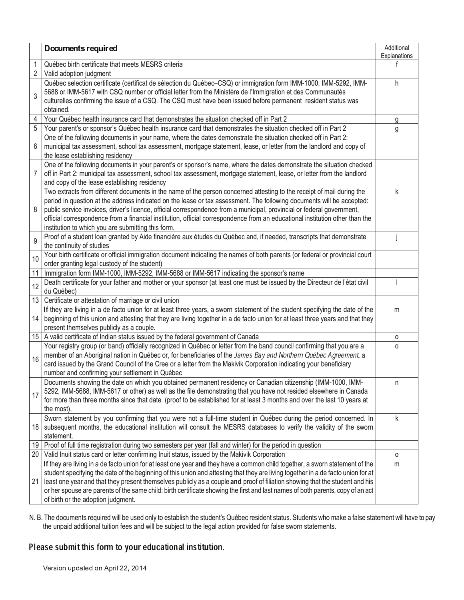|                | Documents required                                                                                                                                                                                                                                                                                                                                                                                                                                                                                                                                                         | Additional<br>Explanations |
|----------------|----------------------------------------------------------------------------------------------------------------------------------------------------------------------------------------------------------------------------------------------------------------------------------------------------------------------------------------------------------------------------------------------------------------------------------------------------------------------------------------------------------------------------------------------------------------------------|----------------------------|
| 1              | Québec birth certificate that meets MESRS criteria                                                                                                                                                                                                                                                                                                                                                                                                                                                                                                                         |                            |
| $\overline{2}$ | Valid adoption judgment                                                                                                                                                                                                                                                                                                                                                                                                                                                                                                                                                    |                            |
| 3              | Québec selection certificate (certificat de sélection du Québec-CSQ) or immigration form IMM-1000, IMM-5292, IMM-<br>5688 or IMM-5617 with CSQ number or official letter from the Ministère de l'Immigration et des Communautés<br>culturelles confirming the issue of a CSQ. The CSQ must have been issued before permanent resident status was<br>obtained.                                                                                                                                                                                                              | h                          |
| 4              | Your Québec health insurance card that demonstrates the situation checked off in Part 2                                                                                                                                                                                                                                                                                                                                                                                                                                                                                    | g                          |
| 5              | Your parent's or sponsor's Québec health insurance card that demonstrates the situation checked off in Part 2                                                                                                                                                                                                                                                                                                                                                                                                                                                              | g                          |
| 6              | One of the following documents in your name, where the dates demonstrate the situation checked off in Part 2:<br>municipal tax assessment, school tax assessment, mortgage statement, lease, or letter from the landlord and copy of<br>the lease establishing residency                                                                                                                                                                                                                                                                                                   |                            |
| 7              | One of the following documents in your parent's or sponsor's name, where the dates demonstrate the situation checked<br>off in Part 2: municipal tax assessment, school tax assessment, mortgage statement, lease, or letter from the landlord<br>and copy of the lease establishing residency                                                                                                                                                                                                                                                                             |                            |
| 8              | Two extracts from different documents in the name of the person concerned attesting to the receipt of mail during the<br>period in question at the address indicated on the lease or tax assessment. The following documents will be accepted:<br>public service invoices, driver's licence, official correspondence from a municipal, provincial or federal government,<br>official correspondence from a financial institution, official correspondence from an educational institution other than the<br>institution to which you are submitting this form.             | k                          |
| 9              | Proof of a student loan granted by Aide financière aux études du Québec and, if needed, transcripts that demonstrate<br>the continuity of studies                                                                                                                                                                                                                                                                                                                                                                                                                          |                            |
| 10             | Your birth certificate or official immigration document indicating the names of both parents (or federal or provincial court<br>order granting legal custody of the student)                                                                                                                                                                                                                                                                                                                                                                                               |                            |
| 11             | Immigration form IMM-1000, IMM-5292, IMM-5688 or IMM-5617 indicating the sponsor's name                                                                                                                                                                                                                                                                                                                                                                                                                                                                                    |                            |
| 12             | Death certificate for your father and mother or your sponsor (at least one must be issued by the Directeur de l'état civil<br>du Québec)                                                                                                                                                                                                                                                                                                                                                                                                                                   |                            |
| 13             | Certificate or attestation of marriage or civil union                                                                                                                                                                                                                                                                                                                                                                                                                                                                                                                      |                            |
| 14             | If they are living in a de facto union for at least three years, a sworn statement of the student specifying the date of the<br>beginning of this union and attesting that they are living together in a de facto union for at least three years and that they<br>present themselves publicly as a couple.                                                                                                                                                                                                                                                                 | m                          |
| 15             | A valid certificate of Indian status issued by the federal government of Canada                                                                                                                                                                                                                                                                                                                                                                                                                                                                                            | 0                          |
| 16             | Your registry group (or band) officially recognized in Québec or letter from the band council confirming that you are a<br>member of an Aboriginal nation in Québec or, for beneficiaries of the James Bay and Northern Québec Agreement, a<br>card issued by the Grand Council of the Cree or a letter from the Makivik Corporation indicating your beneficiary<br>number and confirming your settlement in Québec                                                                                                                                                        | 0                          |
| 17             | Documents showing the date on which you obtained permanent residency or Canadian citizenship (IMM-1000, IMM-<br>5292, IMM-5688, IMM-5617 or other) as well as the file demonstrating that you have not resided elsewhere in Canada<br>for more than three months since that date (proof to be established for at least 3 months and over the last 10 years at<br>the most).                                                                                                                                                                                                | n                          |
| 18             | Sworn statement by you confirming that you were not a full-time student in Québec during the period concerned. In<br>subsequent months, the educational institution will consult the MESRS databases to verify the validity of the sworn<br>statement.                                                                                                                                                                                                                                                                                                                     | k                          |
| 19             | Proof of full time registration during two semesters per year (fall and winter) for the period in question                                                                                                                                                                                                                                                                                                                                                                                                                                                                 |                            |
| 20             | Valid Inuit status card or letter confirming Inuit status, issued by the Makivik Corporation                                                                                                                                                                                                                                                                                                                                                                                                                                                                               | 0                          |
| 21             | If they are living in a de facto union for at least one year and they have a common child together, a sworn statement of the<br>student specifying the date of the beginning of this union and attesting that they are living together in a de facto union for at<br>least one year and that they present themselves publicly as a couple and proof of filiation showing that the student and his<br>or her spouse are parents of the same child: birth certificate showing the first and last names of both parents, copy of an act<br>of birth or the adoption judgment. | m                          |

N. B. The documents required will be used only to establish the student's Québec resident status. Students who make a false statement will have to pay the unpaid additional tuition fees and will be subject to the legal action provided for false sworn statements.

# Please submit this form to your educational institution.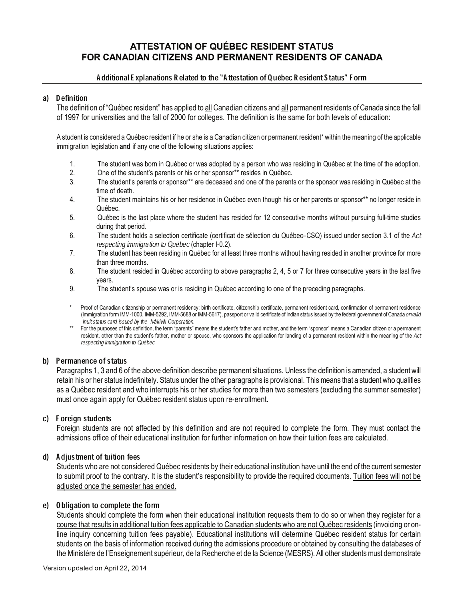## **ATTESTATION OF QUÉBEC RESIDENT STATUS** FOR CANADIAN CITIZENS AND PERMANENT RESIDENTS OF CANADA

## Additional Explanations Related to the "Attestation of Québec Resident Status" Form

#### a) Definition

The definition of "Québec resident" has applied to all Canadian citizens and all permanent residents of Canada since the fall of 1997 for universities and the fall of 2000 for colleges. The definition is the same for both levels of education:

A student is considered a Québec resident if he or she is a Canadian citizen or permanent resident\* within the meaning of the applicable immigration legislation and if any one of the following situations applies:

- 1. The student was born in Québec or was adopted by a person who was residing in Québec at the time of the adoption.<br>2. One of the student's parents or his or her sponsor\*\* resides in Québec.
- One of the student's parents or his or her sponsor\*\* resides in Québec.
- 3. The student's parents or sponsor\*\* are deceased and one of the parents or the sponsor was residing in Québec at the time of death.
- 4. The student maintains his or her residence in Québec even though his or her parents or sponsor\*\* no longer reside in Québec.
- 5. Québec is the last place where the student has resided for 12 consecutive months without pursuing full-time studies during that period.
- 6. The student holds a selection certificate (certificat de sélection du Québec–CSQ) issued under section 3.1 of the Act respecting immigration to Québec (chapter I-0.2).
- 7. The student has been residing in Québec for at least three months without having resided in another province for more than three months.
- 8. The student resided in Québec according to above paragraphs 2, 4, 5 or 7 for three consecutive years in the last five years.
- 9. The student's spouse was or is residing in Québec according to one of the preceding paragraphs.
- \* Proof of Canadian citizenship or permanent residency: birth certificate, citizenship certificate, permanent resident card, confirmation of permanent residence (immigration form IMM-1000, IMM-5292, IMM-5688 or IMM-5617), passport or valid certificate of Indian status issued by the federal government of Canada or valid Inuit status card issued by the Makivik Corporation.
- \*\* For the purposes of this definition, the term "parents" means the student's father and mother, and the term "sponsor" means a Canadian citizen or a permanent resident, other than the student's father, mother or spouse, who sponsors the application for landing of a permanent resident within the meaning of the Act respecting immigration to Québec.

#### b) Permanence of status

Paragraphs 1, 3 and 6 of the above definition describe permanent situations. Unless the definition is amended, a student will retain his or her status indefinitely. Status under the other paragraphs is provisional. This means that a student who qualifies as a Québec resident and who interrupts his or her studies for more than two semesters (excluding the summer semester) must once again apply for Québec resident status upon re-enrollment.

## c) Foreign students

Foreign students are not affected by this definition and are not required to complete the form. They must contact the admissions office of their educational institution for further information on how their tuition fees are calculated.

## d) Adjustment of tuition fees

Students who are not considered Québec residents by their educational institution have until the end of the current semester to submit proof to the contrary. It is the student's responsibility to provide the required documents. Tuition fees will not be adjusted once the semester has ended.

#### e) Obligation to complete the form

Students should complete the form when their educational institution requests them to do so or when they register for a course that results in additional tuition fees applicable to Canadian students who are not Québec residents (invoicing or online inquiry concerning tuition fees payable). Educational institutions will determine Québec resident status for certain students on the basis of information received during the admissions procedure or obtained by consulting the databases of the Ministère de l'Enseignement supérieur, de la Recherche et de la Science (MESRS). All other students must demonstrate